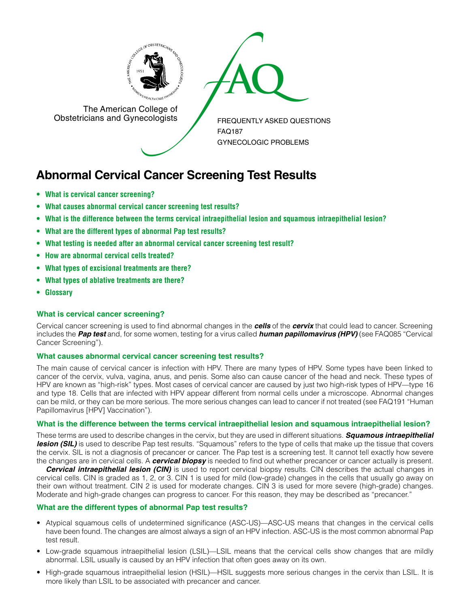

The American College of<br>
Obstetricians and Gynecologists

The American College of<br>Obstetricians and Gynecologists

FREQUENTLY ASKED QUESTIONS FAQ187 GYNECOLOGIC PROBLEMS

# **Abnormal Cervical Cancer Screening Test Results**

- **• What is cervical cancer screening?**
- **• What causes abnormal cervical cancer screening test results?**
- **• What is the difference between the terms cervical intraepithelial lesion and squamous intraepithelial lesion?**
- **• What are the different types of abnormal Pap test results?**
- **• What testing is needed after an abnormal cervical cancer screening test result?**
- **• How are abnormal cervical cells treated?**
- **• What types of excisional treatments are there?**
- **• What types of ablative treatments are there?**
- **Glossary**

# **What is cervical cancer screening?**

Cervical cancer screening is used to find abnormal changes in the *cells* of the *cervix* that could lead to cancer. Screening includes the *Pap test* and, for some women, testing for a virus called *human papillomavirus (HPV)* (see FAQ085 "Cervical Cancer Screening").

# **What causes abnormal cervical cancer screening test results?**

The main cause of cervical cancer is infection with HPV. There are many types of HPV. Some types have been linked to cancer of the cervix, vulva, vagina, anus, and penis. Some also can cause cancer of the head and neck. These types of HPV are known as "high-risk" types. Most cases of cervical cancer are caused by just two high-risk types of HPV—type 16 and type 18. Cells that are infected with HPV appear different from normal cells under a microscope. Abnormal changes can be mild, or they can be more serious. The more serious changes can lead to cancer if not treated (see FAQ191 "Human Papillomavirus [HPV] Vaccination").

# **What is the difference between the terms cervical intraepithelial lesion and squamous intraepithelial lesion?**

These terms are used to describe changes in the cervix, but they are used in different situations. *Squamous intraepithelial*  **lesion (SIL)** is used to describe Pap test results. "Squamous" refers to the type of cells that make up the tissue that covers the cervix. SIL is not a diagnosis of precancer or cancer. The Pap test is a screening test. It cannot tell exactly how severe the changes are in cervical cells. A *cervical biopsy* is needed to find out whether precancer or cancer actually is present.

*Cervical intraepithelial lesion (CIN)* is used to report cervical biopsy results. CIN describes the actual changes in cervical cells. CIN is graded as 1, 2, or 3. CIN 1 is used for mild (low-grade) changes in the cells that usually go away on their own without treatment. CIN 2 is used for moderate changes. CIN 3 is used for more severe (high-grade) changes. Moderate and high-grade changes can progress to cancer. For this reason, they may be described as "precancer."

# **What are the different types of abnormal Pap test results?**

- Atypical squamous cells of undetermined significance (ASC-US)—ASC-US means that changes in the cervical cells have been found. The changes are almost always a sign of an HPV infection. ASC-US is the most common abnormal Pap test result.
- Low-grade squamous intraepithelial lesion (LSIL)—LSIL means that the cervical cells show changes that are mildly abnormal. LSIL usually is caused by an HPV infection that often goes away on its own.
- High-grade squamous intraepithelial lesion (HSIL)—HSIL suggests more serious changes in the cervix than LSIL. It is more likely than LSIL to be associated with precancer and cancer.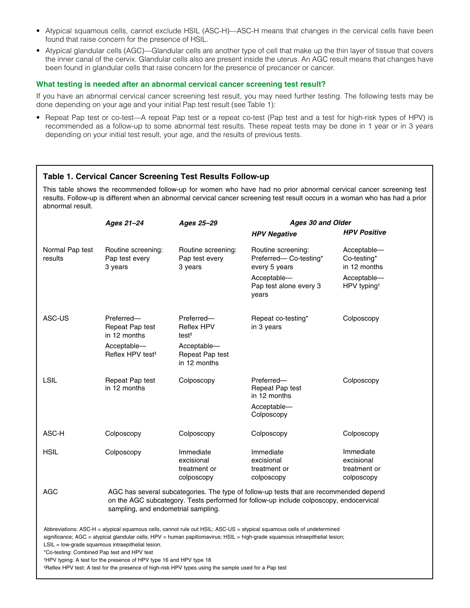- Atypical squamous cells, cannot exclude HSIL (ASC-H)—ASC-H means that changes in the cervical cells have been found that raise concern for the presence of HSIL.
- Atypical glandular cells (AGC)—Glandular cells are another type of cell that make up the thin layer of tissue that covers the inner canal of the cervix. Glandular cells also are present inside the uterus. An AGC result means that changes have been found in glandular cells that raise concern for the presence of precancer or cancer.

### **What testing is needed after an abnormal cervical cancer screening test result?**

If you have an abnormal cervical cancer screening test result, you may need further testing. The following tests may be done depending on your age and your initial Pap test result (see Table 1):

• Repeat Pap test or co-test—A repeat Pap test or a repeat co-test (Pap test and a test for high-risk types of HPV) is recommended as a follow-up to some abnormal test results. These repeat tests may be done in 1 year or in 3 years depending on your initial test result, your age, and the results of previous tests.

# **Table 1. Cervical Cancer Screening Test Results Follow-up**

This table shows the recommended follow-up for women who have had no prior abnormal cervical cancer screening test results. Follow-up is different when an abnormal cervical cancer screening test result occurs in a woman who has had a prior abnormal result.

|                            | Ages 21-24                                                                                                                                                                                                              | Ages 25-29                                                                                             | Ages 30 and Older                                                                                                                                                                                                                                      |                                                                                      |
|----------------------------|-------------------------------------------------------------------------------------------------------------------------------------------------------------------------------------------------------------------------|--------------------------------------------------------------------------------------------------------|--------------------------------------------------------------------------------------------------------------------------------------------------------------------------------------------------------------------------------------------------------|--------------------------------------------------------------------------------------|
|                            |                                                                                                                                                                                                                         |                                                                                                        | <b>HPV Negative</b>                                                                                                                                                                                                                                    | <b>HPV Positive</b>                                                                  |
| Normal Pap test<br>results | Routine screening:<br>Pap test every<br>3 years                                                                                                                                                                         | Routine screening:<br>Pap test every<br>3 years                                                        | Routine screening:<br>Preferred-Co-testing*<br>every 5 years<br>Acceptable-<br>Pap test alone every 3<br>years                                                                                                                                         | Acceptable-<br>Co-testing*<br>in 12 months<br>Acceptable-<br>HPV typing <sup>+</sup> |
| ASC-US                     | Preferred-<br>Repeat Pap test<br>in 12 months<br>Acceptable-<br>Reflex HPV test <sup>#</sup>                                                                                                                            | Preferred-<br><b>Reflex HPV</b><br>test <sup>‡</sup><br>Acceptable-<br>Repeat Pap test<br>in 12 months | Repeat co-testing*<br>in 3 years                                                                                                                                                                                                                       | Colposcopy                                                                           |
| <b>LSIL</b>                | Repeat Pap test<br>in 12 months                                                                                                                                                                                         | Colposcopy                                                                                             | Preferred-<br>Repeat Pap test<br>in 12 months<br>Acceptable-<br>Colposcopy                                                                                                                                                                             | Colposcopy                                                                           |
| ASC-H                      | Colposcopy                                                                                                                                                                                                              | Colposcopy                                                                                             | Colposcopy                                                                                                                                                                                                                                             | Colposcopy                                                                           |
| <b>HSIL</b>                | Colposcopy                                                                                                                                                                                                              | Immediate<br>excisional<br>treatment or<br>colposcopy                                                  | Immediate<br>excisional<br>treatment or<br>colposcopy                                                                                                                                                                                                  | Immediate<br>excisional<br>treatment or<br>colposcopy                                |
| <b>AGC</b>                 | AGC has several subcategories. The type of follow-up tests that are recommended depend<br>on the AGC subcategory. Tests performed for follow-up include colposcopy, endocervical<br>sampling, and endometrial sampling. |                                                                                                        |                                                                                                                                                                                                                                                        |                                                                                      |
|                            | $LSIL = low-grade squamous intraepithelial lesion.$<br>*Co-testing: Combined Pap test and HPV test<br><sup>†</sup> HPV typing: A test for the presence of HPV type 16 and HPV type 18                                   |                                                                                                        | Abbreviations: ASC-H = atypical squamous cells, cannot rule out HSIL; ASC-US = atypical squamous cells of undetermined<br>significance; AGC = atypical glandular cells; HPV = human papillomavirus; HSIL = high-grade squamous intraepithelial lesion; |                                                                                      |

‡ Reflex HPV test: A test for the presence of high-risk HPV types using the sample used for a Pap test